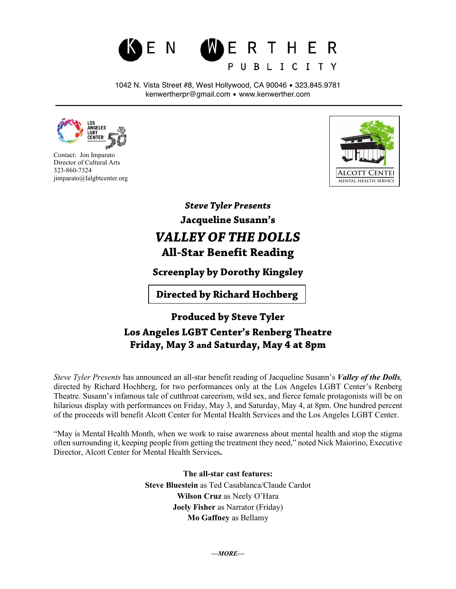## N **WERTHER** PUBLICITY

1042 N. Vista Street #8, West Hollywood, CA 90046 • 323.845.9781 kenwertherpr@gmail.com • www.kenwerther.com



 Contact: Jon Imparato Director of Cultural Arts 323-860-7324 jimparato@lalgbtcenter.org



*Steve Tyler Presents* **Jacqueline Susann's** *VALLEY OF THE DOLLS* **All-Star Benefit Reading**

**Screenplay by Dorothy Kingsley**

**Directed by Richard Hochberg**

**Produced by Steve Tyler Los Angeles LGBT Center's Renberg Theatre Friday, May 3 and Saturday, May 4 at 8pm**

*Steve Tyler Presents* has announced an all-star benefit reading of Jacqueline Susann's *Valley of the Dolls,* directed by Richard Hochberg, for two performances only at the Los Angeles LGBT Center's Renberg Theatre. Susann's infamous tale of cutthroat careerism, wild sex, and fierce female protagonists will be on hilarious display with performances on Friday, May 3, and Saturday, May 4, at 8pm. One hundred percent of the proceeds will benefit Alcott Center for Mental Health Services and the Los Angeles LGBT Center.

"May is Mental Health Month, when we work to raise awareness about mental health and stop the stigma often surrounding it, keeping people from getting the treatment they need," noted Nick Maiorino, Executive Director, Alcott Center for Mental Health Services**.**

> **The all-star cast features: Steve Bluestein** as Ted Casablanca/Claude Cardot **Wilson Cruz** as Neely O'Hara **Joely Fisher** as Narrator (Friday) **Mo Gaffney** as Bellamy

> > *—MORE—*